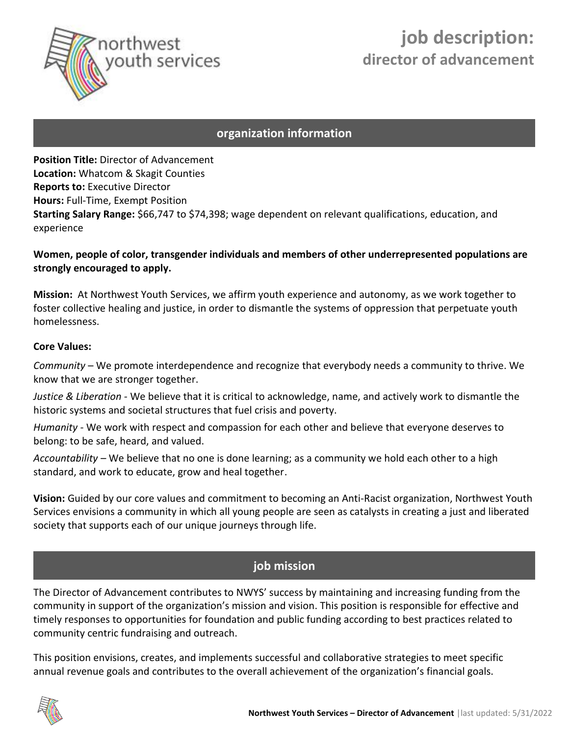

# **job description: director of advancement**

## **organization information**

**Position Title:** Director of Advancement **Location:** Whatcom & Skagit Counties **Reports to:** Executive Director **Hours:** Full-Time, Exempt Position **Starting Salary Range:** \$66,747 to \$74,398; wage dependent on relevant qualifications, education, and experience

## **Women, people of color, transgender individuals and members of other underrepresented populations are strongly encouraged to apply.**

**Mission:** At Northwest Youth Services, we affirm youth experience and autonomy, as we work together to foster collective healing and justice, in order to dismantle the systems of oppression that perpetuate youth homelessness.

#### **Core Values:**

*Community* – We promote interdependence and recognize that everybody needs a community to thrive. We know that we are stronger together.

*Justice & Liberation -* We believe that it is critical to acknowledge, name, and actively work to dismantle the historic systems and societal structures that fuel crisis and poverty.

*Humanity -* We work with respect and compassion for each other and believe that everyone deserves to belong: to be safe, heard, and valued.

*Accountability –* We believe that no one is done learning; as a community we hold each other to a high standard, and work to educate, grow and heal together.

**Vision:** Guided by our core values and commitment to becoming an Anti-Racist organization, Northwest Youth Services envisions a community in which all young people are seen as catalysts in creating a just and liberated society that supports each of our unique journeys through life.

# **job mission**

The Director of Advancement contributes to NWYS' success by maintaining and increasing funding from the community in support of the organization's mission and vision. This position is responsible for effective and timely responses to opportunities for foundation and public funding according to best practices related to community centric fundraising and outreach.

This position envisions, creates, and implements successful and collaborative strategies to meet specific annual revenue goals and contributes to the overall achievement of the organization's financial goals.

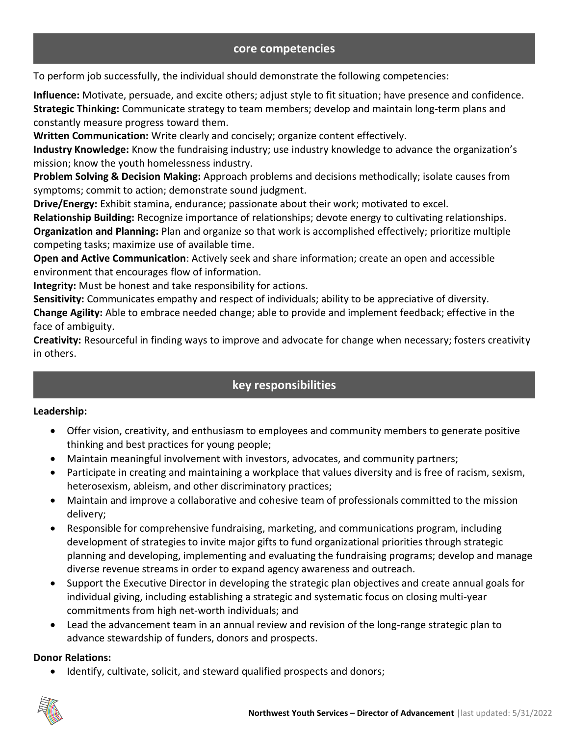#### **core competencies**

To perform job successfully, the individual should demonstrate the following competencies:

**Influence:** Motivate, persuade, and excite others; adjust style to fit situation; have presence and confidence. **Strategic Thinking:** Communicate strategy to team members; develop and maintain long-term plans and constantly measure progress toward them.

**Written Communication:** Write clearly and concisely; organize content effectively.

**Industry Knowledge:** Know the fundraising industry; use industry knowledge to advance the organization's mission; know the youth homelessness industry.

**Problem Solving & Decision Making:** Approach problems and decisions methodically; isolate causes from symptoms; commit to action; demonstrate sound judgment.

**Drive/Energy:** Exhibit stamina, endurance; passionate about their work; motivated to excel.

**Relationship Building:** Recognize importance of relationships; devote energy to cultivating relationships. **Organization and Planning:** Plan and organize so that work is accomplished effectively; prioritize multiple competing tasks; maximize use of available time.

**Open and Active Communication**: Actively seek and share information; create an open and accessible environment that encourages flow of information.

**Integrity:** Must be honest and take responsibility for actions.

**Sensitivity:** Communicates empathy and respect of individuals; ability to be appreciative of diversity.

**Change Agility:** Able to embrace needed change; able to provide and implement feedback; effective in the face of ambiguity.

**Creativity:** Resourceful in finding ways to improve and advocate for change when necessary; fosters creativity in others.

# **key responsibilities**

## **Leadership:**

- Offer vision, creativity, and enthusiasm to employees and community members to generate positive thinking and best practices for young people;
- Maintain meaningful involvement with investors, advocates, and community partners;
- Participate in creating and maintaining a workplace that values diversity and is free of racism, sexism, heterosexism, ableism, and other discriminatory practices;
- Maintain and improve a collaborative and cohesive team of professionals committed to the mission delivery;
- Responsible for comprehensive fundraising, marketing, and communications program, including development of strategies to invite major gifts to fund organizational priorities through strategic planning and developing, implementing and evaluating the fundraising programs; develop and manage diverse revenue streams in order to expand agency awareness and outreach.
- Support the Executive Director in developing the strategic plan objectives and create annual goals for individual giving, including establishing a strategic and systematic focus on closing multi-year commitments from high net-worth individuals; and
- Lead the advancement team in an annual review and revision of the long-range strategic plan to advance stewardship of funders, donors and prospects.

#### **Donor Relations:**

Identify, cultivate, solicit, and steward qualified prospects and donors;

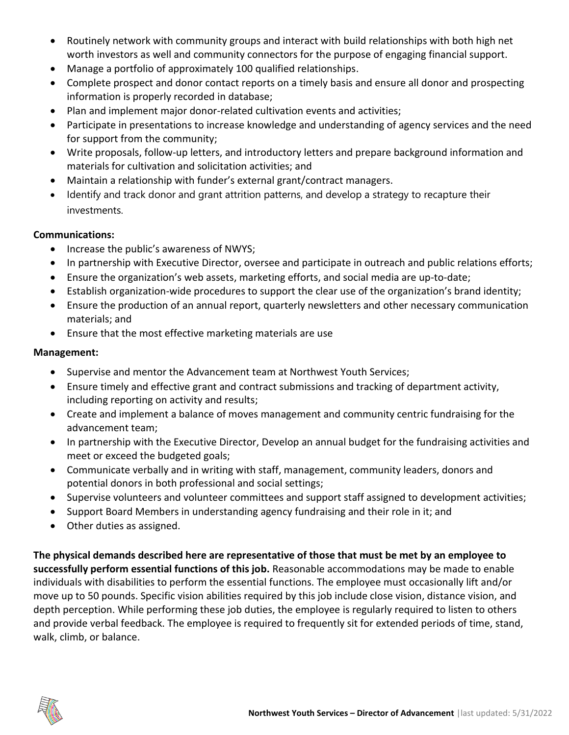- Routinely network with community groups and interact with build relationships with both high net worth investors as well and community connectors for the purpose of engaging financial support.
- Manage a portfolio of approximately 100 qualified relationships.
- Complete prospect and donor contact reports on a timely basis and ensure all donor and prospecting information is properly recorded in database;
- Plan and implement major donor-related cultivation events and activities;
- Participate in presentations to increase knowledge and understanding of agency services and the need for support from the community;
- Write proposals, follow-up letters, and introductory letters and prepare background information and materials for cultivation and solicitation activities; and
- Maintain a relationship with funder's external grant/contract managers.
- Identify and track donor and grant attrition patterns, and develop a strategy to recapture their investments.

## **Communications:**

- Increase the public's awareness of NWYS;
- In partnership with Executive Director, oversee and participate in outreach and public relations efforts;
- Ensure the organization's web assets, marketing efforts, and social media are up-to-date;
- Establish organization-wide procedures to support the clear use of the organization's brand identity;
- Ensure the production of an annual report, quarterly newsletters and other necessary communication materials; and
- Ensure that the most effective marketing materials are use

## **Management:**

- Supervise and mentor the Advancement team at Northwest Youth Services;
- Ensure timely and effective grant and contract submissions and tracking of department activity, including reporting on activity and results;
- Create and implement a balance of moves management and community centric fundraising for the advancement team;
- In partnership with the Executive Director, Develop an annual budget for the fundraising activities and meet or exceed the budgeted goals;
- Communicate verbally and in writing with staff, management, community leaders, donors and potential donors in both professional and social settings;
- Supervise volunteers and volunteer committees and support staff assigned to development activities;
- Support Board Members in understanding agency fundraising and their role in it; and
- Other duties as assigned.

**The physical demands described here are representative of those that must be met by an employee to successfully perform essential functions of this job.** Reasonable accommodations may be made to enable individuals with disabilities to perform the essential functions. The employee must occasionally lift and/or move up to 50 pounds. Specific vision abilities required by this job include close vision, distance vision, and depth perception. While performing these job duties, the employee is regularly required to listen to others and provide verbal feedback. The employee is required to frequently sit for extended periods of time, stand, walk, climb, or balance.